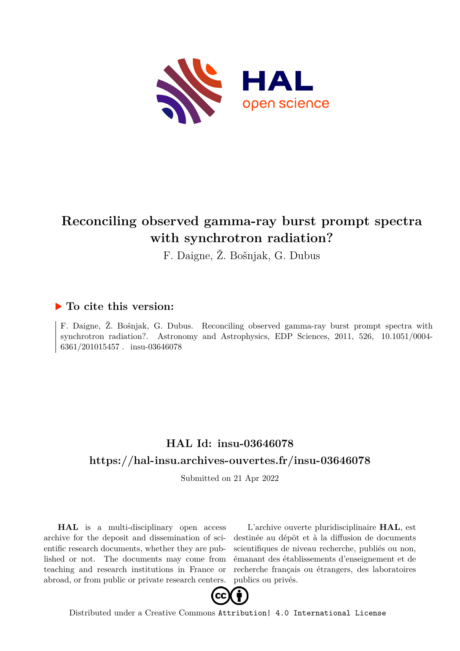

# **Reconciling observed gamma-ray burst prompt spectra with synchrotron radiation?**

F. Daigne, Ž. Bošnjak, G. Dubus

## **To cite this version:**

F. Daigne, Ž. Bošnjak, G. Dubus. Reconciling observed gamma-ray burst prompt spectra with synchrotron radiation?. Astronomy and Astrophysics, EDP Sciences,  $2011$ ,  $526$ ,  $10.1051/0004-$ 6361/201015457. insu-03646078

# **HAL Id: insu-03646078 <https://hal-insu.archives-ouvertes.fr/insu-03646078>**

Submitted on 21 Apr 2022

**HAL** is a multi-disciplinary open access archive for the deposit and dissemination of scientific research documents, whether they are published or not. The documents may come from teaching and research institutions in France or abroad, or from public or private research centers.

L'archive ouverte pluridisciplinaire **HAL**, est destinée au dépôt et à la diffusion de documents scientifiques de niveau recherche, publiés ou non, émanant des établissements d'enseignement et de recherche français ou étrangers, des laboratoires publics ou privés.



Distributed under a Creative Commons [Attribution| 4.0 International License](http://creativecommons.org/licenses/by/4.0/)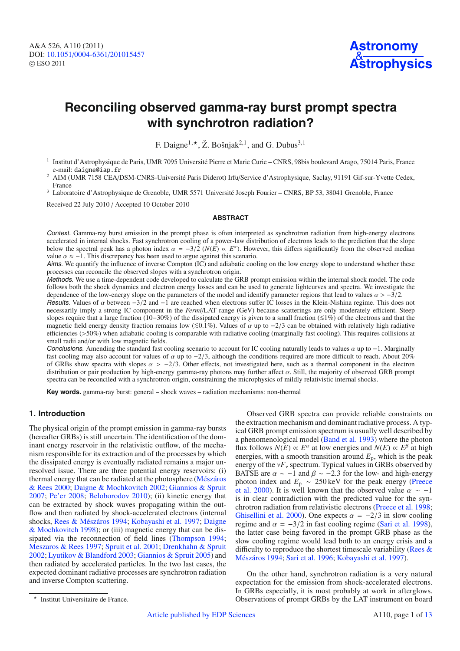# **Reconciling observed gamma-ray burst prompt spectra with synchrotron radiation?**

F. Daigne<sup>1,  $\star$ </sup>,  $\check{Z}$ . Bošnjak<sup>2,1</sup>, and G. Dubus<sup>3,1</sup>

- <sup>1</sup> Institut d'Astrophysique de Paris, UMR 7095 Université Pierre et Marie Curie CNRS, 98bis boulevard Arago, 75014 Paris, France
- <sup>2</sup> AIM (UMR 7158 CEA/DSM-CNRS-Université Paris Diderot) Irfu/Service d'Astrophysique, Saclay, 91191 Gif-sur-Yvette Cedex, France

<sup>3</sup> Laboratoire d'Astrophysique de Grenoble, UMR 5571 Université Joseph Fourier – CNRS, BP 53, 38041 Grenoble, France

Received 22 July 2010 / Accepted 10 October 2010

#### **ABSTRACT**

Context. Gamma-ray burst emission in the prompt phase is often interpreted as synchrotron radiation from high-energy electrons accelerated in internal shocks. Fast synchrotron cooling of a power-law distribution of electrons leads to the prediction that the slope below the spectral peak has a photon index  $\alpha = -3/2$  ( $N(E) \propto E^{\alpha}$ ). However, this differs significantly from the observed median value  $\alpha \approx -1$ . This discrepancy has been used to argue against this scenario.

Aims. We quantify the influence of inverse Compton (IC) and adiabatic cooling on the low energy slope to understand whether these processes can reconcile the observed slopes with a synchrotron origin.

Methods. We use a time-dependent code developed to calculate the GRB prompt emission within the internal shock model. The code follows both the shock dynamics and electron energy losses and can be used to generate lightcurves and spectra. We investigate the dependence of the low-energy slope on the parameters of the model and identify parameter regions that lead to values  $\alpha > -3/2$ .

Results. Values of  $\alpha$  between  $-3/2$  and  $-1$  are reached when electrons suffer IC losses in the Klein-Nishina regime. This does not necessarily imply a strong IC component in the *Fermi*/LAT range (GeV) because scatterings are only moderately efficient. Steep slopes require that a large fraction (10−30%) of the dissipated energy is given to a small fraction (≤1%) of the electrons and that the magnetic field energy density fraction remains low ( $\leq 0.1\%$ ). Values of  $\alpha$  up to  $-2/3$  can be obtained with relatively high radiative efficiencies (>50%) when adiabatic cooling is comparable with radiative cooling (marginally fast cooling). This requires collisions at small radii and/or with low magnetic fields.

Conclusions. Amending the standard fast cooling scenario to account for IC cooling naturally leads to values  $\alpha$  up to −1. Marginally fast cooling may also account for values of  $\alpha$  up to  $-2/3$ , although the conditions required are more difficult to reach. About 20% of GRBs show spectra with slopes  $\alpha > -2/3$ . Other effects, not investigated here, such as a thermal component in the electron distribution or pair production by high-energy gamma-ray photons may further affect α. Still, the majority of observed GRB prompt spectra can be reconciled with a synchrotron origin, constraining the microphysics of mildly relativistic internal shocks.

**Key words.** gamma-ray burst: general – shock waves – radiation mechanisms: non-thermal

### **1. Introduction**

The physical origin of the prompt emission in gamma-ray bursts (hereafter GRBs) is still uncertain. The identification of the dominant energy reservoir in the relativistic outflow, of the mechanism responsible for its extraction and of the processes by which the dissipated energy is eventually radiated remains a major unresolved issue. There are three potential energy reservoirs: (i) thermal energy that can be radiated at the photosphere (Mészáros & Rees 2000; Daigne & Mochkovitch 2002; Giannios & Spruit 2007; Pe'er 2008; Beloborodov 2010); (ii) kinetic energy that can be extracted by shock waves propagating within the outflow and then radiated by shock-accelerated electrons (internal shocks, Rees & Mészáros 1994; Kobayashi et al. 1997; Daigne & Mochkovitch 1998); or (iii) magnetic energy that can be dissipated via the reconnection of field lines (Thompson 1994; Meszaros & Rees 1997; Spruit et al. 2001; Drenkhahn & Spruit 2002; Lyutikov & Blandford 2003; Giannios & Spruit 2005) and then radiated by accelerated particles. In the two last cases, the expected dominant radiative processes are synchrotron radiation and inverse Compton scattering.

On the other hand, synchrotron radiation is a very natural expectation for the emission from shock-accelerated electrons. In GRBs especially, it is most probably at work in afterglows. Observations of prompt GRBs by the LAT instrument on board

Observed GRB spectra can provide reliable constraints on the extraction mechanism and dominant radiative process. A typical GRB prompt emission spectrum is usually well described by a phenomenological model (Band et al. 1993) where the photon flux follows  $N(E) \propto E^{\alpha}$  at low energies and  $N(E) \propto E^{\beta}$  at high energies, with a smooth transition around  $E_p$ , which is the peak energy of the  $vF_v$  spectrum. Typical values in GRBs observed by BATSE are  $\alpha \sim -1$  and  $\beta \sim -2.3$  for the low- and high-energy photon index and  $E_p \sim 250 \,\text{keV}$  for the peak energy (Preece et al. 2000). It is well known that the observed value  $\alpha \sim -1$ is in clear contradiction with the predicted value for the synchrotron radiation from relativistic electrons (Preece et al. 1998; Ghisellini et al. 2000). One expects  $\alpha = -2/3$  in slow cooling regime and  $\alpha = -3/2$  in fast cooling regime (Sari et al. 1998), the latter case being favored in the prompt GRB phase as the slow cooling regime would lead both to an energy crisis and a difficulty to reproduce the shortest timescale variability (Rees  $\&$ Mészáros 1994; Sari et al. 1996; Kobayashi et al. 1997).

<sup>-</sup> Institut Universitaire de France.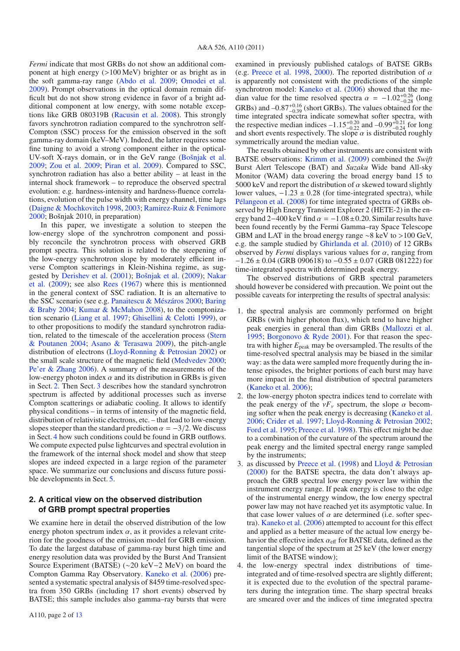*Fermi* indicate that most GRBs do not show an additional component at high energy (>100 MeV) brighter or as bright as in the soft gamma-ray range (Abdo et al. 2009; Omodei et al. 2009). Prompt observations in the optical domain remain difficult but do not show strong evidence in favor of a bright additional component at low energy, with some notable exceptions like GRB 080319B (Racusin et al. 2008). This strongly favors synchrotron radiation compared to the synchrotron self-Compton (SSC) process for the emission observed in the soft gamma-ray domain (keV–MeV). Indeed, the latter requires some fine tuning to avoid a strong component either in the optical-UV-soft X-rays domain, or in the GeV range (Bošnjak et al. 2009; Zou et al. 2009; Piran et al. 2009). Compared to SSC, synchrotron radiation has also a better ability – at least in the internal shock framework – to reproduce the observed spectral evolution: e.g. hardness-intensity and hardness-fluence correlations, evolution of the pulse width with energy channel, time lags (Daigne & Mochkovitch 1998, 2003; Ramirez-Ruiz & Fenimore 2000; Bošnjak 2010, in preparation)

In this paper, we investigate a solution to steepen the low-energy slope of the synchrotron component and possibly reconcile the synchrotron process with observed GRB prompt spectra. This solution is related to the steepening of the low-energy synchrotron slope by moderately efficient inverse Compton scatterings in Klein-Nishina regime, as suggested by Derishev et al. (2001); Bošnjak et al. (2009); Nakar et al. (2009); see also Rees (1967) where this is mentionned in the general context of SSC radiation. It is an alternative to the SSC scenario (see e.g. Panaitescu & Mészáros 2000; Baring & Braby 2004; Kumar & McMahon 2008), to the comptonization scenario (Liang et al. 1997; Ghisellini & Celotti 1999), or to other propositions to modify the standard synchrotron radiation, related to the timescale of the acceleration process (Stern & Poutanen 2004; Asano & Terasawa 2009), the pitch-angle distribution of electrons (Lloyd-Ronning & Petrosian 2002) or the small scale structure of the magnetic field (Medvedev 2000; Pe'er & Zhang 2006). A summary of the measurements of the low-energy photon index  $\alpha$  and its distribution in GRBs is given in Sect. 2. Then Sect. 3 describes how the standard synchrotron spectrum is affected by additional processes such as inverse Compton scatterings or adiabatic cooling. It allows to identify physical conditions – in terms of intensity of the magnetic field, distribution of relativistic electrons, etc. – that lead to low-energy slopes steeper than the standard prediction  $\alpha = -3/2$ . We discuss in Sect. 4 how such conditions could be found in GRB outflows. We compute expected pulse lightcurves and spectral evolution in the framework of the internal shock model and show that steep slopes are indeed expected in a large region of the parameter space. We summarize our conclusions and discuss future possible developments in Sect. 5.

### **2. A critical view on the observed distribution of GRB prompt spectral properties**

We examine here in detail the observed distribution of the low energy photon spectrum index  $\alpha$ , as it provides a relevant criterion for the goodness of the emission model for GRB emission. To date the largest database of gamma-ray burst high time and energy resolution data was provided by the Burst And Transient Source Experiment (BATSE) (∼20 keV−2 MeV) on board the Compton Gamma Ray Observatory. Kaneko et al. (2006) presented a systematic spectral analysis of 8459 time-resolved spectra from 350 GRBs (including 17 short events) observed by BATSE; this sample includes also gamma–ray bursts that were examined in previously published catalogs of BATSE GRBs (e.g. Preece et al. 1998, 2000). The reported distribution of  $\alpha$ is apparently not consistent with the predictions of the simple synchrotron model: Kaneko et al. (2006) showed that the median value for the time resolved spectra  $\alpha = -1.02_{-0.28}^{+0.26}$  (long GRBs) and  $-0.87^{+0.16}_{-0.39}$  (short GRBs). The values obtained for the time integrated spectra indicate somewhat softer spectra, with the respective median indices –1.15+0.20 and –0.99+0.21 for long<br>the respective median indices –1.15+0.20 and –0.99+0.24 for long and short events respectively. The slope  $\alpha$  is distributed roughly symmetrically around the median value.

The results obtained by other instruments are consistent with BATSE observations: Krimm et al. (2009) combined the *Swift* Burst Alert Telescope (BAT) and *Suzaku* Wide band All-sky Monitor (WAM) data covering the broad energy band 15 to 5000 keV and report the distribution of  $\alpha$  skewed toward slightly lower values,  $-1.23 \pm 0.28$  (for time-integrated spectra), while Pélangeon et al. (2008) for time integrated spectra of GRBs observed by High Energy Transient Explorer 2 (HETE-2) in the energy band 2–400 keV find  $\alpha = -1.08 \pm 0.20$ . Similar results have been found recently by the Fermi Gamma–ray Space Telescope GBM and LAT in the broad energy range ∼8 keV to >100 GeV, e.g. the sample studied by Ghirlanda et al. (2010) of 12 GRBs observed by *Fermi* displays various values for  $\alpha$ , ranging from  $-1.26 \pm 0.04$  (GRB 090618) to  $-0.55 \pm 0.07$  (GRB 081222) for time-integrated spectra with determined peak energy.

The observed distributions of GRB spectral parameters should however be considered with precaution. We point out the possible caveats for interpreting the results of spectral analysis:

- 1. the spectral analysis are commonly performed on bright GRBs (with higher photon flux), which tend to have higher peak energies in general than dim GRBs (Mallozzi et al. 1995; Borgonovo & Ryde 2001). For that reason the spectra with higher *E*peak may be oversampled. The results of the time-resolved spectral analysis may be biased in the similar way: as the data were sampled more frequently during the intense episodes, the brighter portions of each burst may have more impact in the final distribution of spectral parameters (Kaneko et al. 2006);
- 2. the low-energy photon spectra indices tend to correlate with the peak energy of the  $vF_v$  spectrum, the slope  $\alpha$  becoming softer when the peak energy is decreasing (Kaneko et al. 2006; Crider et al. 1997; Lloyd-Ronning & Petrosian 2002; Ford et al. 1995; Preece et al. 1998). This effect might be due to a combination of the curvature of the spectrum around the peak energy and the limited spectral energy range sampled by the instruments;
- 3. as discussed by Preece et al. (1998) and Lloyd & Petrosian (2000) for the BATSE spectra, the data don't always approach the GRB spectral low energy power law within the instrument energy range. If peak energy is close to the edge of the instrumental energy window, the low energy spectral power law may not have reached yet its asymptotic value. In that case lower values of  $\alpha$  are determined (i.e. softer spectra). Kaneko et al. (2006) attempted to account for this effect and applied as a better measure of the actual low energy behavior the effective index  $\alpha_{\text{eff}}$  for BATSE data, defined as the tangential slope of the spectrum at 25 keV (the lower energy limit of the BATSE window);
- 4. the low-energy spectral index distributions of timeintegrated and of time-resolved spectra are slightly different; it is expected due to the evolution of the spectral parameters during the integration time. The sharp spectral breaks are smeared over and the indices of time integrated spectra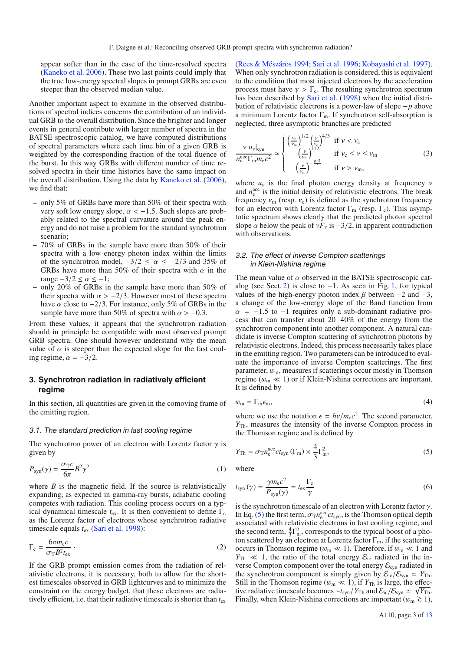appear softer than in the case of the time-resolved spectra (Kaneko et al. 2006). These two last points could imply that the true low-energy spectral slopes in prompt GRBs are even steeper than the observed median value.

Another important aspect to examine in the observed distributions of spectral indices concerns the contribution of an individual GRB to the overall distribution. Since the brighter and longer events in general contribute with larger number of spectra in the BATSE spectroscopic catalog, we have computed distributions of spectral parameters where each time bin of a given GRB is weighted by the corresponding fraction of the total fluence of the burst. In this way GRBs with different number of time resolved spectra in their time histories have the same impact on the overall distribution. Using the data by Kaneko et al. (2006), we find that:

- **–** only 5% of GRBs have more than 50% of their spectra with very soft low energy slope,  $\alpha < -1.5$ . Such slopes are probably related to the spectral curvature around the peak energy and do not raise a problem for the standard synchrotron scenario;
- **–** 70% of GRBs in the sample have more than 50% of their spectra with a low energy photon index within the limits of the synchrotron model,  $-3/2 \le \alpha \le -2/3$  and 35% of GRBs have more than 50% of their spectra with  $\alpha$  in the range  $-3/2 \le \alpha \le -1$ ;
- **–** only 20% of GRBs in the sample have more than 50% of their spectra with  $\alpha > -2/3$ . However most of these spectra have  $\alpha$  close to  $-2/3$ . For instance, only 5% of GRBs in the sample have more than 50% of spectra with  $\alpha$  > −0.3.

From these values, it appears that the synchrotron radiation should in principle be compatible with most observed prompt GRB spectra. One should however understand why the mean value of  $\alpha$  is steeper than the expected slope for the fast cooling regime,  $\alpha = -3/2$ .

### **3. Synchrotron radiation in radiatively efficient regime**

In this section, all quantities are given in the comoving frame of the emitting region.

#### 3.1. The standard prediction in fast cooling regime

The synchrotron power of an electron with Lorentz factor  $\gamma$  is given by

$$
P_{\rm syn}(\gamma) = \frac{\sigma_{\rm T} c}{6\pi} B^2 \gamma^2 \tag{1}
$$

where  $B$  is the magnetic field. If the source is relativistically expanding, as expected in gamma-ray bursts, adiabatic cooling competes with radiation. This cooling process occurs on a typical dynamical timescale  $t_{\text{ex}}$ . It is then convenient to define  $\Gamma_c$ as the Lorentz factor of electrons whose synchrotron radiative timescale equals  $t_{ex}$  (Sari et al. 1998):

$$
\Gamma_{\rm c} = \frac{6\pi m_{\rm e}c}{\sigma_{\rm T}B^2 t_{\rm ex}}\,. \tag{2}
$$

If the GRB prompt emission comes from the radiation of relativistic electrons, it is necessary, both to allow for the shortest timescales observed in GRB lightcurves and to minimize the constraint on the energy budget, that these electrons are radiatively efficient, i.e. that their radiative timescale is shorter than  $t_{ex}$ 

(Rees & Mészáros 1994; Sari et al. 1996; Kobayashi et al. 1997). When only synchrotron radiation is considered, this is equivalent to the condition that most injected electrons by the acceleration process must have  $\gamma > \Gamma_c$ . The resulting synchrotron spectrum has been described by Sari et al. (1998) when the initial distribution of relativistic electrons is a power-law of slope −*p* above a minimum Lorentz factor  $\Gamma_m$ . If synchrotron self-absorption is neglected, three asymptotic branches are predicted

$$
\frac{\nu u_{\nu}|_{\text{syn}}}{n_{\text{e}}^{\text{acc}}\Gamma_{\text{m}}m_{\text{e}}c^2} \simeq \begin{cases}\n\left(\frac{v_{\text{c}}}{v_{\text{m}}}\right)^{1/2}\left(\frac{\nu}{v_{\text{c}}}\right)^{4/3} & \text{if } \nu < \nu_{\text{c}} \\
\left(\frac{\nu}{v_{\text{m}}}\right)^{1/2} & \text{if } \nu_{\text{c}} \le \nu \le \nu_{\text{m}} \\
\left(\frac{\nu}{v_{\text{m}}}\right)^{-\frac{p-2}{2}} & \text{if } \nu > \nu_{\text{m}},\n\end{cases} \tag{3}
$$

where  $u<sub>v</sub>$  is the final photon energy density at frequency  $v$ and  $n_e^{\text{acc}}$  is the initial density of relativistic electrons. The break frequency  $v_m$  (resp.  $v_c$ ) is defined as the synchrotron frequency for an electron with Lorentz factor  $\Gamma_m$  (resp.  $\Gamma_c$ ). This asymptotic spectrum shows clearly that the predicted photon spectral slope  $\alpha$  below the peak of  $vF_v$  is  $-3/2$ , in apparent contradiction with observations.

#### 3.2. The effect of inverse Compton scatterings in Klein-Nishina regime

The mean value of  $\alpha$  observed in the BATSE spectroscopic catalog (see Sect. 2) is close to  $-1$ . As seen in Fig. 1, for typical values of the high-energy photon index  $\beta$  between  $-2$  and  $-3$ , a change of the low-energy slope of the Band function from  $\alpha$  = −1.5 to −1 requires only a sub-dominant radiative process that can transfer about 20−40% of the energy from the synchrotron component into another component. A natural candidate is inverse Compton scattering of synchrotron photons by relativistic electrons. Indeed, this process necessarily takes place in the emitting region. Two parameters can be introduced to evaluate the importance of inverse Compton scatterings. The first parameter,  $w_{\text{m}}$ , measures if scatterings occur mostly in Thomson regime ( $w_m \ll 1$ ) or if Klein-Nishina corrections are important. It is defined by

$$
w_{\rm m} = \Gamma_{\rm m} \epsilon_{\rm m},\tag{4}
$$

where we use the notation  $\epsilon = h\nu/m_e c^2$ . The second parameter, *Y*<sub>Th</sub>, measures the intensity of the inverse Compton process in the Thomson regime and is defined by

$$
Y_{\text{Th}} = \sigma_{\text{T}} n_{\text{e}}^{\text{acc}} ct_{\text{syn}} \left(\Gamma_{\text{m}}\right) \times \frac{4}{3} \Gamma_{\text{m}}^2,\tag{5}
$$

where

$$
t_{\rm syn}(\gamma) = \frac{\gamma m_{\rm e}c^2}{P_{\rm syn}(\gamma)} = t_{\rm ex}\frac{\Gamma_{\rm c}}{\gamma}
$$
 (6)

is the synchrotron timescale of an electron with Lorentz factor  $\gamma$ . In Eq. (5) the first term,  $\sigma_{\rm T} n_{\rm e}^{\rm acc} c t_{\rm syn}$ , is the Thomson optical depth associated with relativistic electrons in fast cooling regime, and the second term,  $\frac{4}{3}\Gamma_m^2$ , corresponds to the typical boost of a photon scattered by an electron at Lorentz factor  $\Gamma_m$ , if the scattering occurs in Thomson regime ( $w_m \ll 1$ ). Therefore, if  $w_m \ll 1$  and  $Y_{\text{Th}} \ll 1$ , the ratio of the total energy  $\mathcal{E}_{\text{ic}}$  radiated in the inverse Compton component over the total energy  $\mathcal{E}_{syn}$  radiated in the synchrotron component is simply given by  $\mathcal{E}_{ic}/\mathcal{E}_{syn} \simeq Y_{Th}$ . Still in the Thomson regime ( $w_m \ll 1$ ), if  $Y_{Th}$  is large, the effective radiative timescale becomes ∼*t*<sub>syn</sub>/*Y*<sub>Th</sub> and  $\mathcal{E}_{ic}/\mathcal{E}_{syn} \simeq \sqrt{Y_{Th}}$ . Finally, when Klein-Nishina corrections are important ( $w<sub>m</sub> ≥ 1$ ),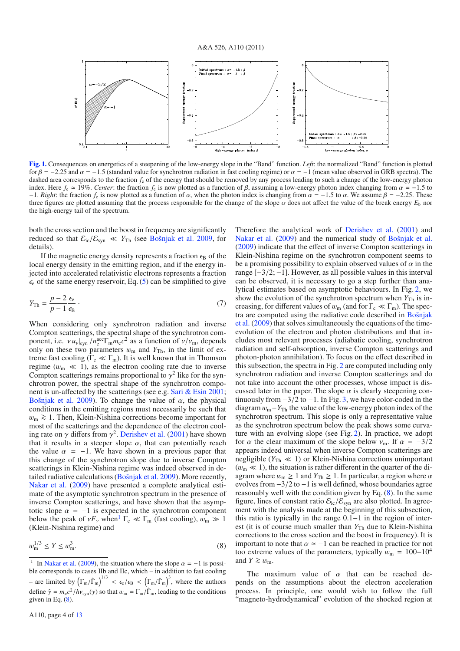

**[Fig. 1.](http://dexter.edpsciences.org/applet.php?DOI=10.1051/0004-6361/201015457&pdf_id=1)** Consequences on energetics of a steepening of the low-energy slope in the "Band" function. *Left*: the normalized "Band" function is plotted for  $\beta = -2.25$  and  $\alpha = -1.5$  (standard value for synchrotron radiation in fast cooling regime) or  $\alpha = -1$  (mean value observed in GRB spectra). The dashed area corresponds to the fraction  $f_e$  of the energy that should be removed by any process leading to such a change of the low-energy photon index. Here  $f_e \approx 19\%$ . *Center*: the fraction  $f_e$  is now plotted as a function of  $\beta$ , assuming a low-energy photon index changing from  $\alpha = -1.5$  to  $-1$ . *Right*: the fraction  $f_e$  is now plotted as a function of  $\alpha$ , when the photon index is changing from  $\alpha = -1.5$  to  $\alpha$ . We assume  $\beta = -2.25$ . These three figures are plotted assuming that the process responsible for the change of the slope  $\alpha$  does not affect the value of the break energy  $E<sub>b</sub>$  nor the high-energy tail of the spectrum.

both the cross section and the boost in frequency are significantly reduced so that  $\mathcal{E}_{ic}/\mathcal{E}_{syn} \ll Y_{Th}$  (see Bošnjak et al. 2009, for details).

If the magnetic energy density represents a fraction  $\epsilon_B$  of the local energy density in the emitting region, and if the energy injected into accelerated relativistic electrons represents a fraction  $\epsilon$  of the same energy reservoir, Eq. (5) can be simplified to give

$$
Y_{\rm Th} = \frac{p-2}{p-1} \frac{\epsilon_{\rm e}}{\epsilon_{\rm B}} \,. \tag{7}
$$

When considering only synchrotron radiation and inverse Compton scatterings, the spectral shape of the synchrotron component, i.e.  $v u_v|_{syn}/n_e^{acc} \Gamma_m m_e c^2$  as a function of  $v/v_m$ , depends only on these two parameters  $w_m$  and  $Y_{Th}$ , in the limit of extreme fast cooling ( $\Gamma_c \ll \Gamma_m$ ). It is well known that in Thomson regime ( $w_m \ll 1$ ), as the electron cooling rate due to inverse Compton scatterings remains proportional to  $\gamma^2$  like for the synchrotron power, the spectral shape of the synchrotron component is un-affected by the scatterings (see e.g. Sari & Esin 2001; Bošnjak et al. 2009). To change the value of  $\alpha$ , the physical conditions in the emitting regions must necessarily be such that w<sub>m</sub> ≥ 1. Then, Klein-Nishina corrections become important for most of the scatterings and the dependence of the electron cooling rate on  $\gamma$  differs from  $\gamma^2$ . Derishev et al. (2001) have shown that it results in a steeper slope  $\alpha$ , that can potentially reach the value  $\alpha = -1$ . We have shown in a previous paper that this change of the synchrotron slope due to inverse Compton scatterings in Klein-Nishina regime was indeed observed in detailed radiative calculations (Bošnjak et al. 2009). More recently, Nakar et al. (2009) have presented a complete analytical estimate of the asymptotic synchrotron spectrum in the presence of inverse Compton scatterings, and have shown that the asymptotic slope  $\alpha = -1$  is expected in the synchrotron component below the peak of  $vF_v$  when<sup>1</sup>  $\Gamma_c \ll \Gamma_m$  (fast cooling),  $w_m \gg 1$ (Klein-Nishina regime) and

$$
w_{\rm m}^{1/3} \le Y \le w_{\rm m}^3. \tag{8}
$$

Therefore the analytical work of Derishev et al. (2001) and Nakar et al. (2009) and the numerical study of Bošnjak et al. (2009) indicate that the effect of inverse Compton scatterings in Klein-Nishina regime on the synchrotron component seems to be a promising possibility to explain observed values of  $\alpha$  in the range [−3/2; −1]. However, as all possible values in this interval can be observed, it is necessary to go a step further than analytical estimates based on asymptotic behaviours. In Fig. 2, we show the evolution of the synchrotron spectrum when  $Y_{\text{Th}}$  is increasing, for different values of  $w_m$  (and for  $\Gamma_c \ll \Gamma_m$ ). The spectra are computed using the radiative code described in Bošnjak et al. (2009) that solves simultaneously the equations of the timeevolution of the electron and photon distributions and that includes most relevant processes (adiabatic cooling, synchrotron radiation and self-absorption, inverse Compton scatterings and photon-photon annihilation). To focus on the effect described in this subsection, the spectra in Fig. 2 are computed including only synchrotron radiation and inverse Compton scatterings and do not take into account the other processes, whose impact is discussed later in the paper. The slope  $\alpha$  is clearly steepening continuously from  $-3/2$  to  $-1$ . In Fig. 3, we have color-coded in the diagram wm−*Y*Th the value of the low-energy photon index of the synchrotron spectrum. This slope is only a representative value as the synchrotron spectrum below the peak shows some curvature with an evolving slope (see Fig. 2). In practice, we adopt for  $\alpha$  the clear maximum of the slope below  $v_m$ . If  $\alpha = -3/2$ appears indeed universal when inverse Compton scatterings are negligible  $(Y_{\text{Th}} \ll 1)$  or Klein-Nishina corrections unimportant  $(w<sub>m</sub> \ll 1)$ , the situation is rather different in the quarter of the diagram where  $w_m \geq 1$  and  $Y_{\text{Th}} \geq 1$ . In particular, a region where  $\alpha$ evolves from −3/2 to −1 is well defined, whose boundaries agree reasonably well with the condition given by Eq. (8). In the same figure, lines of constant ratio  $\mathcal{E}_{ic}/\mathcal{E}_{syn}$  are also plotted. In agreement with the analysis made at the beginning of this subsection, this ratio is typically in the range 0.1−1 in the region of interest (it is of course much smaller than  $Y_{\text{Th}}$  due to Klein-Nishina corrections to the cross section and the boost in frequency). It is important to note that  $\alpha \approx -1$  can be reached in practice for not too extreme values of the parameters, typically  $w_m = 100-10^4$ and *Y*  $\geq w_m$ .

The maximum value of  $\alpha$  that can be reached depends on the assumptions about the electron acceleration process. In principle, one would wish to follow the full 'magneto-hydrodynamical'' evolution of the shocked region at

In Nakar et al. (2009), the situation where the slope  $\alpha = -1$  is possible corresponds to cases IIb and IIc, which – in addition to fast cooling – are limited by  $(\Gamma_m/\hat{\Gamma}_m)^{1/3} < \epsilon_e/\epsilon_B < (\Gamma_m/\hat{\Gamma}_m)^3$ , where the authors define  $\hat{\gamma} = m_e c^2 / h v_{syn}(\gamma)$  so that  $w_m = \Gamma_m / \hat{\Gamma}_m$ , leading to the conditions given in Eq.  $(8)$ .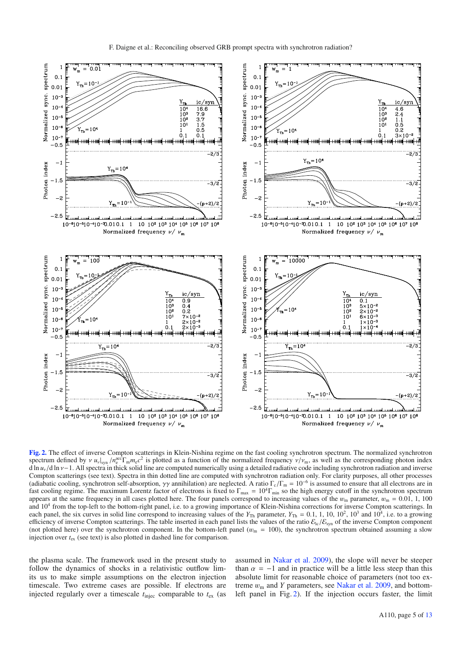

**[Fig. 2.](http://dexter.edpsciences.org/applet.php?DOI=10.1051/0004-6361/201015457&pdf_id=2)** The effect of inverse Compton scatterings in Klein-Nishina regime on the fast cooling synchrotron spectrum. The normalized synchrotron spectrum defined by  $v u_v|_{syn}/n_e^{acc} \Gamma_m m_e c^2$  is plotted as a function of the normalized frequency  $v/v_m$ , as well as the corresponding photon index d ln *u*ν/d ln ν−1. All spectra in thick solid line are computed numerically using a detailed radiative code including synchrotron radiation and inverse Compton scatterings (see text). Spectra in thin dotted line are computed with synchrotron radiation only. For clarity purposes, all other processes (adiabatic cooling, synchrotron self-absorption,  $\gamma\gamma$  annihilation) are neglected. A ratio  $\Gamma_c/\Gamma_m = 10^{-6}$  is assumed to ensure that all electrons are in fast cooling regime. The maximum Lorentz factor of electrons is fixed to  $\Gamma_{\text{max}} = 10^4 \Gamma_{\text{min}}$  so the high energy cutoff in the synchrotron spectrum appears at the same frequency in all cases plotted here. The four panels correspond to increasing values of the  $w_m$  parameter,  $w_m = 0.01, 1, 100$ and 104 from the top-left to the bottom-right panel, i.e. to a growing importance of Klein-Nishina corrections for inverse Compton scatterings. In each panel, the six curves in solid line correspond to increasing values of the  $Y_{Th}$  parameter,  $Y_{Th} = 0.1$ , 1, 10, 10<sup>2</sup>, 10<sup>3</sup> and 10<sup>4</sup>, i.e. to a growing efficiency of inverse Compton scatterings. The table inserted in each panel lists the values of the ratio  $\mathcal{E}_{ic}/\mathcal{E}_{syn}$  of the inverse Compton component (not plotted here) over the synchrotron component. In the bottom-left panel  $(w_m = 100)$ , the synchrotron spectrum obtained assuming a slow injection over *t*ex (see text) is also plotted in dashed line for comparison.

the plasma scale. The framework used in the present study to follow the dynamics of shocks in a relativistic outflow limits us to make simple assumptions on the electron injection timescale. Two extreme cases are possible. If electrons are injected regularly over a timescale  $t_{\text{inject}}$  comparable to  $t_{\text{ex}}$  (as assumed in Nakar et al. 2009), the slope will never be steeper than  $\alpha = -1$  and in practice will be a little less steep than this absolute limit for reasonable choice of parameters (not too extreme w<sup>m</sup> and *Y* parameters, see Nakar et al. 2009, and bottomleft panel in Fig. 2). If the injection occurs faster, the limit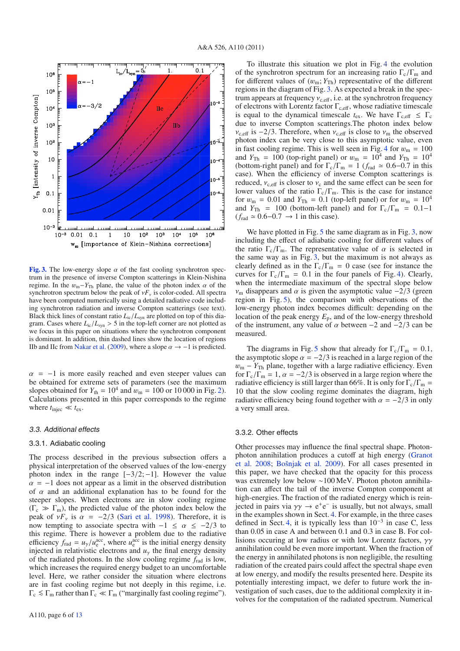

**[Fig. 3.](http://dexter.edpsciences.org/applet.php?DOI=10.1051/0004-6361/201015457&pdf_id=3)** The low-energy slope  $\alpha$  of the fast cooling synchrotron spectrum in the presence of inverse Compton scatterings in Klein-Nishina regime. In the  $w_m - Y_{Th}$  plane, the value of the photon index  $\alpha$  of the synchrotron spectrum below the peak of  $vF_v$  is color-coded. All spectra have been computed numerically using a detailed radiative code including synchrotron radiation and inverse Compton scatterings (see text). Black thick lines of constant ratio *L*ic/*L*syn are plotted on top of this diagram. Cases where  $L_{\text{ic}}/L_{\text{syn}} > 5$  in the top-left corner are not plotted as we focus in this paper on situations where the synchrotron component is dominant. In addition, thin dashed lines show the location of regions IIb and IIc from Nakar et al. (2009), where a slope  $\alpha \rightarrow -1$  is predicted.

 $\alpha$  = −1 is more easily reached and even steeper values can be obtained for extreme sets of parameters (see the maximum slopes obtained for  $Y_{\text{th}} = 10^4$  and  $w_{\text{m}} = 100$  or 10 000 in Fig. 2). Calculations presented in this paper corresponds to the regime where  $t_{\text{inject}} \ll t_{\text{ex}}$ .

#### 3.3. Additional effects

#### 3.3.1. Adiabatic cooling

The process described in the previous subsection offers a physical interpretation of the observed values of the low-energy photon index in the range  $[-3/2, -1]$ . However the value  $\alpha$  = −1 does not appear as a limit in the observed distribution of  $\alpha$  and an additional explanation has to be found for the steeper slopes. When electrons are in slow cooling regime  $(\Gamma_c \gg \Gamma_m)$ , the predicted value of the photon index below the peak of  $vF_v$  is  $\alpha = -2/3$  (Sari et al. 1998). Therefore, it is now tempting to associate spectra with  $-1 \le \alpha \le -2/3$  to this regime. There is however a problem due to the radiative efficiency  $f_{\text{rad}} = u_{\gamma}/u_{\text{e}}^{\text{acc}}$ , where  $u_{\text{e}}^{\text{acc}}$  is the initial energy density injected in relativistic electrons and  $u<sub>y</sub>$  the final energy density of the radiated photons. In the slow cooling regime *f*rad is low, which increases the required energy budget to an uncomfortable level. Here, we rather consider the situation where electrons are in fast cooling regime but not deeply in this regime, i.e.  $\Gamma_c \lesssim \Gamma_m$  rather than  $\Gamma_c \ll \Gamma_m$  ("marginally fast cooling regime").

To illustrate this situation we plot in Fig. 4 the evolution of the synchrotron spectrum for an increasing ratio  $\Gamma_c/\Gamma_m$  and for different values of  $(w_m; Y_{Th})$  representative of the different regions in the diagram of Fig. 3. As expected a break in the spectrum appears at frequency  $v_{c,eff}$ , i.e. at the synchrotron frequency of electrons with Lorentz factor  $\Gamma_{c,eff}$ , whose radiative timescale is equal to the dynamical timescale  $t_{ex}$ . We have  $\Gamma_{c,eff} \leq \Gamma_c$ due to inverse Compton scatterings.The photon index below  $v_{c,eff}$  is  $-2/3$ . Therefore, when  $v_{c,eff}$  is close to  $v_m$  the observed photon index can be very close to this asymptotic value, even in fast cooling regime. This is well seen in Fig. 4 for  $w_m = 100$ and  $Y_{\text{Th}}$  = 100 (top-right panel) or  $w_{\text{m}}$  = 10<sup>4</sup> and  $Y_{\text{Th}}$  = 10<sup>4</sup> (bottom-right panel) and for  $\Gamma_c/\Gamma_m = 1$  ( $f_{rad} \approx 0.6-0.7$  in this case). When the efficiency of inverse Compton scatterings is reduced,  $v_{c,eff}$  is closer to  $v_c$  and the same effect can be seen for lower values of the ratio  $\Gamma_c/\Gamma_m$ . This is the case for instance for  $w_m = 0.01$  and  $Y_{\text{Th}} = 0.1$  (top-left panel) or for  $w_m = 10^4$ and  $Y_{\text{Th}}$  = 100 (bottom-left panel) and for  $\Gamma_c/\Gamma_m$  = 0.1–1  $(f_{\text{rad}} \approx 0.6 - 0.7 \rightarrow 1 \text{ in this case}).$ 

We have plotted in Fig. 5 the same diagram as in Fig. 3, now including the effect of adiabatic cooling for different values of the ratio  $\Gamma_c/\Gamma_m$ . The representative value of  $\alpha$  is selected in the same way as in Fig. 3, but the maximum is not always as clearly defined as in the  $\Gamma_c/\Gamma_m = 0$  case (see for instance the curves for  $\Gamma_c/\Gamma_m = 0.1$  in the four panels of Fig. 4). Clearly, when the intermediate maximum of the spectral slope below  $ν<sub>m</sub>$  disappears and  $α$  is given the asymptotic value  $-2/3$  (green region in Fig. 5), the comparison with observations of the low-energy photon index becomes difficult: depending on the location of the peak energy *E*p, and of the low-energy threshold of the instrument, any value of  $\alpha$  between –2 and –2/3 can be measured.

The diagrams in Fig. 5 show that already for  $\Gamma_c/\Gamma_m = 0.1$ , the asymptotic slope  $\alpha = -2/3$  is reached in a large region of the *w*<sub>m</sub> − *Y*<sub>Th</sub> plane, together with a large radiative efficiency. Even for  $\Gamma_c/\Gamma_m = 1$ ,  $\alpha = -2/3$  is observed in a large region where the radiative efficiency is still larger than 66%. It is only for  $\Gamma_c/\Gamma_m =$ 10 that the slow cooling regime dominates the diagram, high radiative efficiency being found together with  $\alpha = -2/3$  in only a very small area.

#### 3.3.2. Other effects

Other processes may influence the final spectral shape. Photonphoton annihilation produces a cutoff at high energy (Granot et al. 2008; Bošnjak et al. 2009). For all cases presented in this paper, we have checked that the opacity for this process was extremely low below ∼100 MeV. Photon photon annihilation can affect the tail of the inverse Compton component at high-energies. The fraction of the radiated energy which is reinjected in pairs via  $\gamma\gamma \rightarrow e^+e^-$  is usually, but not always, small in the examples shown in Sect. 4. For example, in the three cases defined in Sect. 4, it is typically less than  $10^{-3}$  in case C, less than 0.05 in case A and between 0.1 and 0.3 in case B. For collisions occuring at low radius or with low Lorentz factors,  $\gamma\gamma$ annihilation could be even more important. When the fraction of the energy in annihilated photons is non negligible, the resulting radiation of the created pairs could affect the spectral shape even at low energy, and modify the results presented here. Despite its potentially interesting impact, we defer to future work the investigation of such cases, due to the additional complexity it involves for the computation of the radiated spectrum. Numerical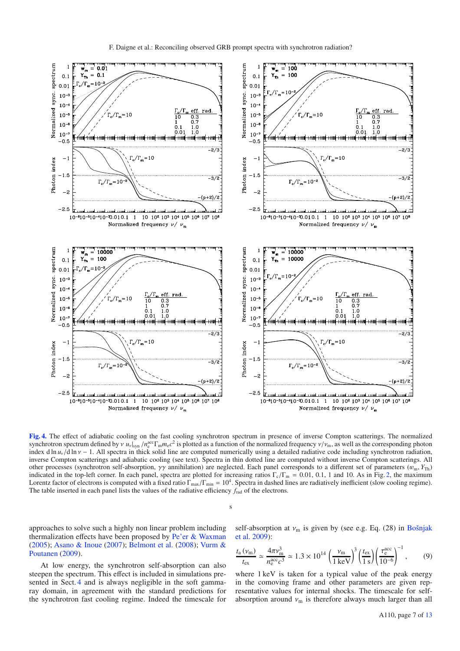

**[Fig. 4.](http://dexter.edpsciences.org/applet.php?DOI=10.1051/0004-6361/201015457&pdf_id=4)** The effect of adiabatic cooling on the fast cooling synchrotron spectrum in presence of inverse Compton scatterings. The normalized synchrotron spectrum defined by  $v u_v|_{syn}/n_e^{acc} \Gamma_m m_e c^2$  is plotted as a function of the normalized frequency  $v/v_m$ , as well as the corresponding photon index d ln  $u_y/d \ln v - 1$ . All spectra in thick solid line are computed numerically using a detailed radiative code including synchrotron radiation, inverse Compton scatterings and adiabatic cooling (see text). Spectra in thin dotted line are computed without inverse Compton scatterings. All other processes (synchrotron self-absorption,  $\gamma\gamma$  annihilation) are neglected. Each panel corresponds to a different set of parameters ( $w<sub>m</sub>$ ,  $Y<sub>Th</sub>$ ) indicated in the top-left corner. In each panel, spectra are plotted for increasing ratios  $\Gamma_c/\Gamma_m = 0.01$ , 0.1, 1 and 10. As in Fig. 2, the maximum Lorentz factor of electrons is computed with a fixed ratio  $\Gamma_{\text{max}}/\Gamma_{\text{min}} = 10^4$ . Spectra in dashed lines are radiatively inefficient (slow cooling regime). The table inserted in each panel lists the values of the radiative efficiency  $f_{rad}$  of the electrons.

s

approaches to solve such a highly non linear problem including thermalization effects have been proposed by Pe'er & Waxman (2005); Asano & Inoue (2007); Belmont et al. (2008); Vurm & Poutanen (2009).

At low energy, the synchrotron self-absorption can also steepen the spectrum. This effect is included in simulations presented in Sect. 4 and is always negligible in the soft gammaray domain, in agreement with the standard predictions for the synchrotron fast cooling regime. Indeed the timescale for self-absorption at  $v_m$  is given by (see e.g. Eq. (28) in Bošnjak et al. 2009):

$$
\frac{t_{\rm a} (v_{\rm m})}{t_{\rm ex}} \simeq \frac{4\pi v_{\rm m}^3}{n_{\rm e}^{\rm acc} c^3} \simeq 1.3 \times 10^{14} \left(\frac{v_{\rm m}}{1 \,\text{keV}}\right)^3 \left(\frac{t_{\rm ex}}{1 \,\text{s}}\right) \left(\frac{\tau_{\rm e}^{\rm acc}}{10^{-6}}\right)^{-1},\tag{9}
$$

where 1 keV is taken for a typical value of the peak energy in the comoving frame and other parameters are given representative values for internal shocks. The timescale for selfabsorption around  $v_m$  is therefore always much larger than all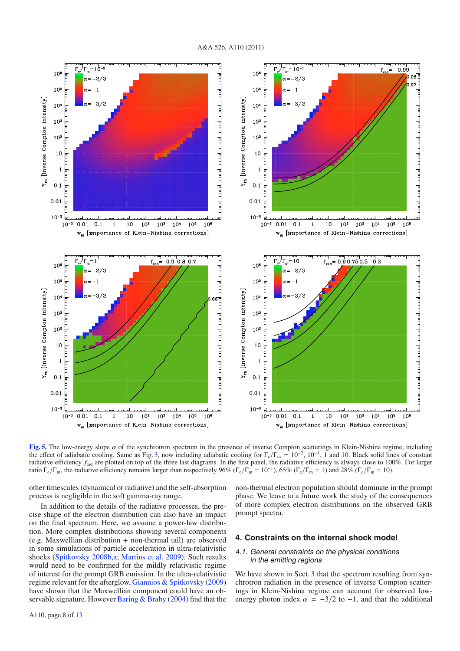

**[Fig. 5.](http://dexter.edpsciences.org/applet.php?DOI=10.1051/0004-6361/201015457&pdf_id=5)** The low-energy slope  $\alpha$  of the synchrotron spectrum in the presence of inverse Compton scatterings in Klein-Nishina regime, including the effect of adiabatic cooling. Same as Fig. 3, now including adiabatic cooling for  $\Gamma_c/\Gamma_m = 10^{-2}$ ,  $10^{-1}$ , 1 and 10. Black solid lines of constant radiative efficiency  $f_{rad}$  are plotted on top of the three last diagrams. In the first panel, the radiative efficiency is always close to 100%. For larger ratio  $\Gamma_c/\Gamma_m$ , the radiative efficiency remains larger than respectively 96% (Γc/Γm = 10<sup>-1</sup>), 65% (Γc/Γm = 1) and 28% (Γc/Γm = 10).

other timescales (dynamical or radiative) and the self-absorption process is negligible in the soft gamma-ray range.

In addition to the details of the radiative processes, the precise shape of the electron distribution can also have an impact on the final spectrum. Here, we assume a power-law distribution. More complex distributions showing several components (e.g. Maxwellian distribution + non-thermal tail) are observed in some simulations of particle acceleration in ultra-relativistic shocks (Spitkovsky 2008b,a; Martins et al. 2009). Such results would need to be confirmed for the mildly relativistic regime of interest for the prompt GRB emission. In the ultra-relativistic regime relevant for the afterglow, Giannios & Spitkovsky (2009) have shown that the Maxwellian component could have an observable signature. However Baring & Braby (2004) find that the non-thermal electron population should dominate in the prompt phase. We leave to a future work the study of the consequences of more complex electron distributions on the observed GRB prompt spectra.

#### **4. Constraints on the internal shock model**

#### 4.1. General constraints on the physical conditions in the emitting regions

We have shown in Sect. 3 that the spectrum resulting from synchrotron radiation in the presence of inverse Compton scatterings in Klein-Nishina regime can account for observed lowenergy photon index  $\alpha = -3/2$  to -1, and that the additional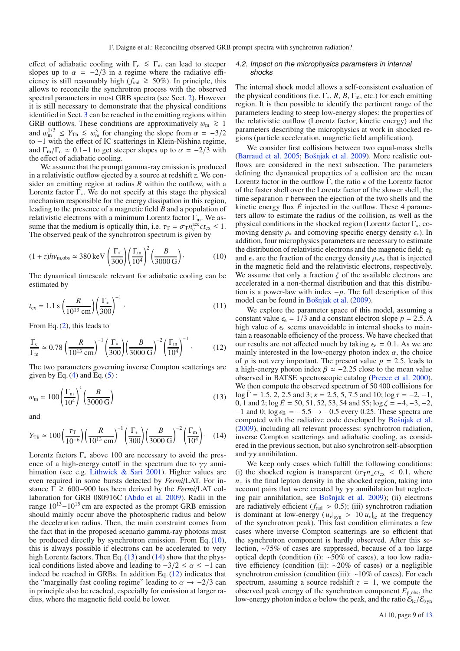effect of adiabatic cooling with  $\Gamma_c \leq \Gamma_m$  can lead to steeper slopes up to  $\alpha = -2/3$  in a regime where the radiative efficiency is still reasonably high (*f*rad <sup>&</sup>gt;<sup>∼</sup> 50%). In principle, this allows to reconcile the synchrotron process with the observed spectral parameters in most GRB spectra (see Sect. 2). However it is still necessary to demonstrate that the physical conditions identified in Sect. 3 can be reached in the emitting regions within GRB outflows. These conditions are approximatively  $w_m \geq 1$ and  $w_{\text{m}}^{1/3} \le Y_{\text{Th}} \le w_{\text{m}}^3$  for changing the slope from  $\alpha = -3/2$ to −1 with the effect of IC scatterings in Klein-Nishina regime, and  $\Gamma_{\rm m}/\Gamma_{\rm c} \simeq 0.1$  to get steeper slopes up to  $\alpha = -2/3$  with the effect of adiabatic cooling.

We assume that the prompt gamma-ray emission is produced in a relativistic outflow ejected by a source at redshift *z*. We consider an emitting region at radius *R* within the outflow, with a Lorentz factor  $\Gamma_*$ . We do not specify at this stage the physical mechanism responsible for the energy dissipation in this region, leading to the presence of a magnetic field *B* and a population of relativistic electrons with a minimum Lorentz factor  $\Gamma_m$ . We assume that the medium is optically thin, i.e.  $\tau_{\rm T} = \sigma_{\rm T} n_{\rm e}^{\rm acc} c t_{\rm ex} \le 1$ . The observed peak of the synchrotron spectrum is given by

$$
(1+z)hv_{\text{m,obs}} \simeq 380 \,\text{keV} \left(\frac{\Gamma_*}{300}\right) \left(\frac{\Gamma_{\text{m}}}{10^4}\right)^2 \left(\frac{B}{3000 \,\text{G}}\right). \tag{10}
$$

The dynamical timescale relevant for adiabatic cooling can be estimated by

$$
t_{\rm ex} = 1.1 \, \text{s} \left(\frac{R}{10^{13} \, \text{cm}}\right) \left(\frac{\Gamma_*}{300}\right)^{-1} \,. \tag{11}
$$

From Eq. (2), this leads to

$$
\frac{\Gamma_{\rm c}}{\Gamma_{\rm m}} \simeq 0.78 \left(\frac{R}{10^{13} \text{ cm}}\right)^{-1} \left(\frac{\Gamma_{*}}{300}\right) \left(\frac{B}{3000 \text{ G}}\right)^{-2} \left(\frac{\Gamma_{\rm m}}{10^{4}}\right)^{-1}.
$$
 (12)

The two parameters governing inverse Compton scatterings are given by Eq.  $(4)$  and Eq.  $(5)$ :

$$
w_{\rm m} \simeq 100 \left(\frac{\Gamma_{\rm m}}{10^4}\right)^3 \left(\frac{B}{3000 \,\mathrm{G}}\right) \tag{13}
$$

and

$$
Y_{\text{Th}} \simeq 100 \left(\frac{\tau_{\text{T}}}{10^{-6}}\right) \left(\frac{R}{10^{13} \text{ cm}}\right)^{-1} \left(\frac{\Gamma_{*}}{300}\right) \left(\frac{B}{3000 \text{ G}}\right)^{-2} \left(\frac{\Gamma_{\text{m}}}{10^{4}}\right). \quad (14)
$$

Lorentz factors  $\Gamma_*$  above 100 are necessary to avoid the presence of a high-energy cutoff in the spectrum due to  $\gamma\gamma$  annihimation (see e.g. Lithwick & Sari 2001). Higher values are even required in some bursts detected by *Fermi*/LAT. For instance <sup>Γ</sup> <sup>&</sup>gt;<sup>∼</sup> <sup>600</sup>−900 has been derived by the *Fermi*/LAT collaboration for GRB 080916C (Abdo et al. 2009). Radii in the range 10<sup>13</sup>−10<sup>15</sup> cm are expected as the prompt GRB emission should mainly occur above the photospheric radius and below the deceleration radius. Then, the main constraint comes from the fact that in the proposed scenario gamma-ray photons must be produced directly by synchrotron emission. From Eq. (10), this is always possible if electrons can be accelerated to very high Lorentz factors. Then Eq. (13) and (14) show that the physical conditions listed above and leading to  $-3/2 \le \alpha \le -1$  can indeed be reached in GRBs. In addition Eq. (12) indicates that the "marginally fast cooling regime" leading to  $\alpha \rightarrow -2/3$  can in principle also be reached, especially for emission at larger radius, where the magnetic field could be lower.

#### 4.2. Impact on the microphysics parameters in internal shocks

The internal shock model allows a self-consistent evaluation of the physical conditions (i.e.  $\Gamma_*$ , *R*, *B*,  $\Gamma_m$ , etc.) for each emitting region. It is then possible to identify the pertinent range of the parameters leading to steep low-energy slopes: the properties of the relativistic outflow (Lorentz factor, kinetic energy) and the parameters describing the microphysics at work in shocked regions (particle acceleration, magnetic field amplification).

We consider first collisions between two equal-mass shells (Barraud et al. 2005; Bošnjak et al. 2009). More realistic outflows are considered in the next subsection. The parameters defining the dynamical properties of a collision are the mean Lorentz factor in the outflow  $\overline{\Gamma}$ , the ratio  $\kappa$  of the Lorentz factor of the faster shell over the Lorentz factor of the slower shell, the time separation  $\tau$  between the ejection of the two shells and the kinetic energy flux  $\dot{E}$  injected in the outflow. These 4 parameters allow to estimate the radius of the collision, as well as the physical conditions in the shocked region (Lorentz factor Γ∗, comoving density  $\rho_*$  and comoving specific energy density  $\epsilon_*$ ). In addition, four microphysics parameters are necessary to estimate the distribution of relativistic electrons and the magnetic field:  $\epsilon_B$ and  $\epsilon_e$  are the fraction of the energy density  $\rho_* \epsilon_*$  that is injected in the magnetic field and the relativistic electrons, respectively. We assume that only a fraction  $\zeta$  of the available electrons are accelerated in a non-thermal distribution and that this distribution is a power-law with index −*p*. The full description of this model can be found in Bošnjak et al. (2009).

We explore the parameter space of this model, assuming a constant value  $\epsilon_e = 1/3$  and a constant electron slope  $p = 2.5$ . A high value of  $\epsilon_{e}$  seems unavoidable in internal shocks to maintain a reasonable efficiency of the process. We have checked that our results are not affected much by taking  $\epsilon_{\rm e} = 0.1$ . As we are mainly interested in the low-energy photon index  $\alpha$ , the choice of *p* is not very important. The present value  $p = 2.5$ , leads to a high-energy photon index  $\beta \approx -2.25$  close to the mean value observed in BATSE spectroscopic catalog (Preece et al. 2000). We then compute the observed spectrum of 50 400 collisions for log  $\bar{\Gamma} = 1.5, 2, 2.5$  and 3;  $\kappa = 2.5, 5, 7.5$  and 10; log  $\tau = -2, -1$ , 0, 1 and 2;  $\log \dot{E} = 50, 51, 52, 53, 54$  and 55;  $\log \zeta = -4, -3, -2,$  $-1$  and 0;  $\log \epsilon_B = -5.5 \rightarrow -0.5$  every 0.25. These spectra are computed with the radiative code developed by Bošnjak et al. (2009), including all relevant processes: synchrotron radiation, inverse Compton scatterings and adiabatic cooling, as considered in the previous section, but also synchrotron self-absorption and  $\gamma\gamma$  annihilation.

We keep only cases which fulfill the following conditions: (i) the shocked region is transparent ( $\sigma_{T}n_{+}ct_{\rm ex}$  < 0.1, where  $n_{\pm}$  is the final lepton density in the shocked region, taking into account pairs that were created by  $\gamma\gamma$  annihilation but neglecting pair annihilation, see Bošnjak et al. 2009); (ii) electrons are radiatively efficient ( $f_{\text{rad}} > 0.5$ ); (iii) synchrotron radiation is dominant at low-energy  $(u_v|_{syn} > 10 \ u_v|_{ic}$  at the frequency of the synchrotron peak). This last condition eliminates a few cases where inverse Compton scatterings are so efficient that the synchrotron component is hardly observed. After this selection, ∼75% of cases are suppressed, because of a too large optical depth (condition (i): ∼50% of cases), a too low radiative efficiency (condition (ii): ∼20% of cases) or a negligible synchrotron emission (condition (iii): ∼10% of cases). For each spectrum, assuming a source redshift  $z = 1$ , we compute the observed peak energy of the synchrotron component  $E_{\text{p,obs}}$ , the low-energy photon index  $\alpha$  below the peak, and the ratio  $\mathcal{E}_{ic}/\mathcal{E}_{syn}$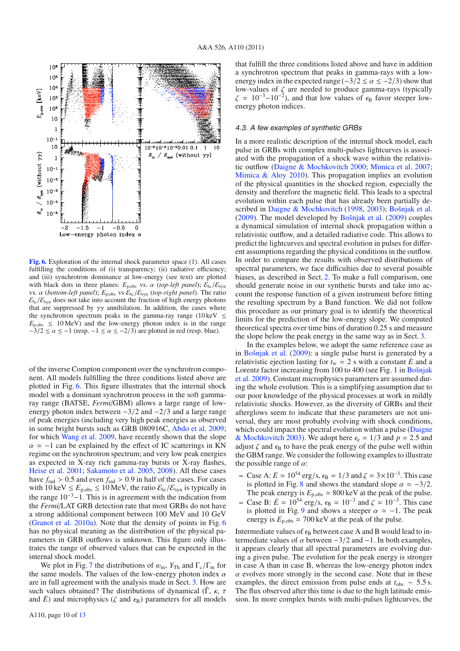

**[Fig. 6.](http://dexter.edpsciences.org/applet.php?DOI=10.1051/0004-6361/201015457&pdf_id=6)** Exploration of the internal shock parameter space (1). All cases fulfilling the conditions of (i) transparency; (ii) radiative efficiency; and (iii) synchrotron dominance at low-energy (see text) are plotted with black dots in three planes:  $E_{\text{p,obs}}$  vs.  $\alpha$  (*top-left panel*);  $\mathcal{E}_{\text{ic}}/\mathcal{E}_{\text{syn}}$ vs. α (*bottom-left panel*); *E*p,obs vs Eic/Esyn (*top-right panel*). The ratio  $\mathcal{E}_{ic}/\mathcal{E}_{syn}$  does not take into account the fraction of high energy photons that are suppressed by  $\gamma\gamma$  annihilation. In addition, the cases where the synchrotron spectrum peaks in the gamma-ray range (10 keV  $\leq$  $E_{\text{p,obs}} \leq 10 \,\text{MeV}$ ) and the low-energy photon index is in the range  $-3/2 \le \alpha \le -1$  (resp.  $-1 \le \alpha \le -2/3$ ) are plotted in red (resp. blue).

of the inverse Compton component over the synchrotron component. All models fulfilling the three conditions listed above are plotted in Fig. 6. This figure illustrates that the internal shock model with a dominant synchrotron process in the soft gammaray range (BATSE, *Fermi*/GBM) allows a large range of lowenergy photon index between  $-3/2$  and  $-2/3$  and a large range of peak energies (including very high peak energies as observed in some bright bursts such as GRB 080916C, Abdo et al. 2009; for which Wang et al. 2009, have recently shown that the slope  $\alpha \approx -1$  can be explained by the effect of IC scatterings in KN regime on the synchrotron spectrum; and very low peak energies as expected in X-ray rich gamma-ray bursts or X-ray flashes, Heise et al. 2001; Sakamoto et al. 2005, 2008). All these cases have  $f_{\text{rad}} > 0.5$  and even  $f_{\text{rad}} > 0.9$  in half of the cases. For cases with  $10 \text{ keV} \le E_{\text{p,obs}} \le 10 \text{ MeV}$ , the ratio  $\mathcal{E}_{\text{ic}}/\mathcal{E}_{\text{syn}}$  is typically in the range  $10^{-3}-1$ . This is in agreement with the indication from the *Fermi*/LAT GRB detection rate that most GRBs do not have a strong additional component between 100 MeV and 10 GeV (Granot et al. 2010a). Note that the density of points in Fig. 6 has no physical meaning as the distribution of the physical parameters in GRB outflows is unknown. This figure only illustrates the range of observed values that can be expected in the internal shock model.

We plot in Fig. 7 the distributions of  $w_m$ ,  $Y_{\text{Th}}$  and  $\Gamma_c/\Gamma_m$  for the same models. The values of the low-energy photon index  $\alpha$ are in full agreement with the analysis made in Sect. 3. How are such values obtained? The distributions of dynamical ( $\overline{\Gamma}$ ,  $\kappa$ ,  $\tau$ and  $\dot{E}$ ) and microphysics ( $\zeta$  and  $\epsilon_B$ ) parameters for all models that fulfill the three conditions listed above and have in addition a synchrotron spectrum that peaks in gamma-rays with a lowenergy index in the expected range  $(-3/2 \le \alpha \le -2/3)$  show that low-values of  $\zeta$  are needed to produce gamma-rays (typically  $\zeta = 10^{-3} - 10^{-2}$ ), and that low values of  $\epsilon_B$  favor steeper lowenergy photon indices.

#### 4.3. A few examples of synthetic GRBs

In a more realistic description of the internal shock model, each pulse in GRBs with complex multi-pulses lightcurves is associated with the propagation of a shock wave within the relativistic outflow (Daigne & Mochkovitch 2000; Mimica et al. 2007; Mimica & Aloy 2010). This propagation implies an evolution of the physical quantities in the shocked region, especially the density and therefore the magnetic field. This leads to a spectral evolution within each pulse that has already been partially described in Daigne & Mochkovitch (1998, 2003); Bošnjak et al. (2009). The model developed by Bošnjak et al. (2009) couples a dynamical simulation of internal shock propagation within a relativistic outflow, and a detailed radiative code. This allows to predict the lightcurves and spectral evolution in pulses for different assumptions regarding the physical conditions in the outflow. In order to compare the results with observed distributions of spectral parameters, we face difficulties due to several possible biases, as described in Sect. 2. To make a full comparison, one should generate noise in our synthetic bursts and take into account the response function of a given instrument before fitting the resulting spectrum by a Band function. We did not follow this procedure as our primary goal is to identify the theoretical limits for the prediction of the low-energy slope. We computed theoretical spectra over time bins of duration 0.25 s and measure the slope below the peak energy in the same way as in Sect. 3.

In the examples below, we adopt the same reference case as in Bošnjak et al. (2009): a single pulse burst is generated by a relativistic ejection lasting for  $t_w = 2$  s with a constant  $\dot{E}$  and a Lorentz factor increasing from 100 to 400 (see Fig. 1 in Bošnjak et al. 2009). Constant microphysics parameters are assumed during the whole evolution. This is a simplifying assumption due to our poor knowledge of the physical processes at work in mildly relativistic shocks. However, as the diversity of GRBs and their afterglows seem to indicate that these parameters are not universal, they are most probably evolving with shock conditions, which could impact the spectral evolution within a pulse (Daigne & Mochkovitch 2003). We adopt here  $\epsilon_{\rm e} = 1/3$  and  $p = 2.5$  and adjust  $\zeta$  and  $\epsilon_B$  to have the peak energy of the pulse well within the GBM range. We consider the following examples to illustrate the possible range of  $\alpha$ :

- **−** Case A:  $\dot{E} = 10^{54} \text{ erg/s}, \epsilon_{\text{B}} = 1/3 \text{ and } \zeta = 3 \times 10^{-3}$ . This case is plotted in Fig. 8 and shows the standard slope  $\alpha = -3/2$ . The peak energy is  $E_{\text{p,obs}} \approx 800 \,\text{keV}$  at the peak of the pulse.
- **–** Case B:  $\dot{E} = 10^{54} \text{ erg/s}, \epsilon_{\text{B}} = 10^{-3} \text{ and } \zeta = 10^{-3}$ . This case is plotted in Fig. 9 and shows a steeper  $\alpha \approx -1$ . The peak energy is  $E_{\text{p,obs}} \simeq 700 \,\text{keV}$  at the peak of the pulse.

Intermediate values of  $\epsilon_B$  between case A and B would lead to intermediate values of  $\alpha$  between  $-3/2$  and  $-1$ . In both examples, it appears clearly that all spectral parameters are evolving during a given pulse. The evolution for the peak energy is stronger in case A than in case B, whereas the low-energy photon index  $\alpha$  evolves more strongly in the second case. Note that in these examples, the direct emission from pulse ends at  $t_{obs} \sim 5.5$  s. The flux observed after this time is due to the high latitude emission. In more complex bursts with multi-pulses lightcurves, the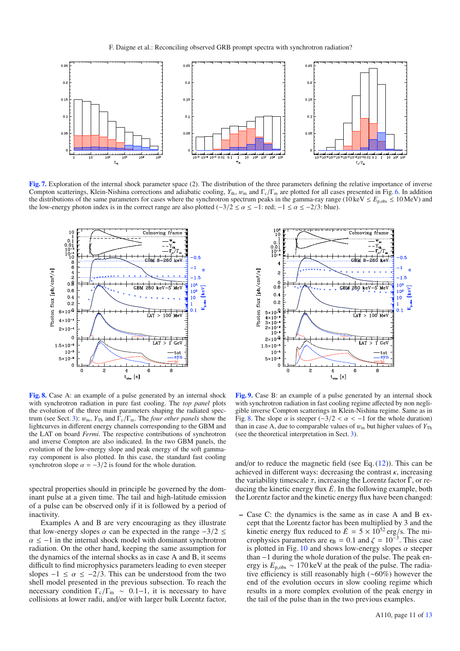F. Daigne et al.: Reconciling observed GRB prompt spectra with synchrotron radiation?



**[Fig. 7.](http://dexter.edpsciences.org/applet.php?DOI=10.1051/0004-6361/201015457&pdf_id=7)** Exploration of the internal shock parameter space (2). The distribution of the three parameters defining the relative importance of inverse Compton scatterings, Klein-Nishina corrections and adiabatic cooling, *Y*<sub>th</sub>, w<sub>m</sub> and Γ<sub>c</sub>/Γ<sub>m</sub> are plotted for all cases presented in Fig. 6. In addition the distributions of the same parameters for cases where the synchrotron spectrum peaks in the gamma-ray range ( $10 \text{ keV} \leq E_{\text{p,obs}} \leq 10 \text{ MeV}$ ) and the low-energy photon index is in the correct range are also plotted ( $-3/2 \le \alpha \le -1$ : red;  $-1 \le \alpha \le -2/3$ : blue).



**[Fig. 8.](http://dexter.edpsciences.org/applet.php?DOI=10.1051/0004-6361/201015457&pdf_id=8)** Case A: an example of a pulse generated by an internal shock with synchrotron radiation in pure fast cooling. The *top panel* plots the evolution of the three main parameters shaping the radiated spectrum (see Sect. 3): wm, *Y*Th and Γc/Γm. The *four other panels* show the lightcurves in different energy channels corresponding to the GBM and the LAT on board *Fermi*. The respective contributions of synchrotron and inverse Compton are also indicated. In the two GBM panels, the evolution of the low-energy slope and peak energy of the soft gammaray component is also plotted. In this case, the standard fast cooling synchrotron slope  $\alpha = -3/2$  is found for the whole duration.

spectral properties should in principle be governed by the dominant pulse at a given time. The tail and high-latitude emission of a pulse can be observed only if it is followed by a period of inactivity.

Examples A and B are very encouraging as they illustrate that low-energy slopes  $\alpha$  can be expected in the range  $-3/2 \le$  $\alpha \leq -1$  in the internal shock model with dominant synchrotron radiation. On the other hand, keeping the same assumption for the dynamics of the internal shocks as in case A and B, it seems difficult to find microphysics parameters leading to even steeper slopes  $-1 \le \alpha \le -2/3$ . This can be understood from the two shell model presented in the previous subsection. To reach the necessary condition  $\Gamma_c/\Gamma_m \sim 0.1-1$ , it is necessary to have collisions at lower radii, and/or with larger bulk Lorentz factor,



**[Fig. 9.](http://dexter.edpsciences.org/applet.php?DOI=10.1051/0004-6361/201015457&pdf_id=9)** Case B: an example of a pulse generated by an internal shock with synchrotron radiation in fast cooling regime affected by non negligible inverse Compton scatterings in Klein-Nishina regime. Same as in Fig. 8. The slope  $\alpha$  is steeper (-3/2 <  $\alpha$  < -1 for the whole duration) than in case A, due to comparable values of  $w<sub>m</sub>$  but higher values of  $Y<sub>Th</sub>$ (see the theoretical interpretation in Sect. 3).

and/or to reduce the magnetic field (see Eq.  $(12)$ ). This can be achieved in different ways: decreasing the contrast  $\kappa$ , increasing the variability timescale  $\tau$ , increasing the Lorentz factor  $\bar{\Gamma}$ , or reducing the kinetic energy flux  $\dot{E}$ . In the following example, both the Lorentz factor and the kinetic energy flux have been changed:

**–** Case C: the dynamics is the same as in case A and B except that the Lorentz factor has been multiplied by 3 and the kinetic energy flux reduced to  $\dot{E} = 5 \times 10^{52} \text{ erg/s}$ . The microphysics parameters are  $\epsilon_{\text{B}} = 0.1$  and  $\zeta = 10^{-3}$ . This case is plotted in Fig. 10 and shows low-energy slopes  $\alpha$  steeper than −1 during the whole duration of the pulse. The peak energy is  $E_{\text{p,obs}} \sim 170 \,\text{keV}$  at the peak of the pulse. The radiative efficiency is still reasonably high (∼60%) however the end of the evolution occurs in slow cooling regime which results in a more complex evolution of the peak energy in the tail of the pulse than in the two previous examples.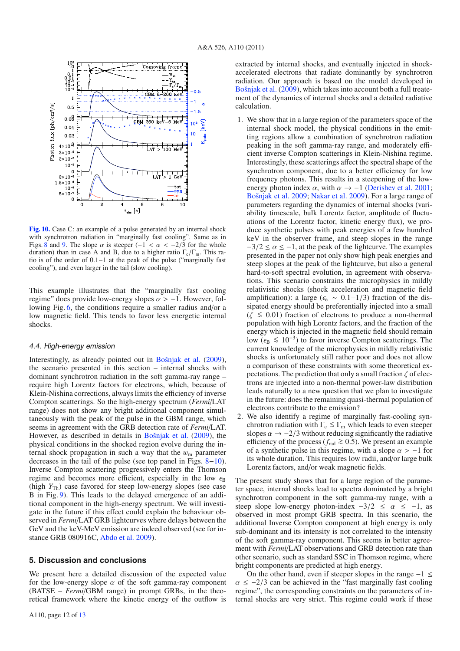

**[Fig. 10.](http://dexter.edpsciences.org/applet.php?DOI=10.1051/0004-6361/201015457&pdf_id=10)** Case C: an example of a pulse generated by an internal shock with synchrotron radiation in "marginally fast cooling". Same as in Figs. 8 and 9. The slope  $\alpha$  is steeper (−1 <  $\alpha$  < −2/3 for the whole duration) than in case A and B, due to a higher ratio  $\Gamma_c/\Gamma_m$ . This ratio is of the order of 0.1−1 at the peak of the pulse ("marginally fast cooling"), and even larger in the tail (slow cooling).

This example illustrates that the "marginally fast cooling regime" does provide low-energy slopes  $\alpha$  > −1. However, following Fig. 6, the conditions require a smaller radius and/or a low magnetic field. This tends to favor less energetic internal shocks.

#### 4.4. High-energy emission

Interestingly, as already pointed out in Bošnjak et al. (2009), the scenario presented in this section – internal shocks with dominant synchrotron radiation in the soft gamma-ray range – require high Lorentz factors for electrons, which, because of Klein-Nishina corrections, always limits the efficiency of inverse Compton scatterings. So the high-energy spectrum (*Fermi*/LAT range) does not show any bright additional component simultaneously with the peak of the pulse in the GBM range, which seems in agreement with the GRB detection rate of *Fermi*/LAT. However, as described in details in Bošnjak et al. (2009), the physical conditions in the shocked region evolve during the internal shock propagation in such a way that the  $w_m$  parameter decreases in the tail of the pulse (see top panel in Figs. 8−10). Inverse Compton scattering progressively enters the Thomson regime and becomes more efficient, especially in the low  $\epsilon_B$ (high *Y*Th) case favored for steep low-energy slopes (see case B in Fig. 9). This leads to the delayed emergence of an additional component in the high-energy spectrum. We will investigate in the future if this effect could explain the behaviour observed in *Fermi*/LAT GRB lightcurves where delays between the GeV and the keV-MeV emission are indeed observed (see for instance GRB 080916C, Abdo et al. 2009).

#### **5. Discussion and conclusions**

We present here a detailed discussion of the expected value for the low-energy slope  $\alpha$  of the soft gamma-ray component (BATSE – *Fermi*/GBM range) in prompt GRBs, in the theoretical framework where the kinetic energy of the outflow is extracted by internal shocks, and eventually injected in shockaccelerated electrons that radiate dominantly by synchrotron radiation. Our approach is based on the model developed in Bošnjak et al. (2009), which takes into account both a full treatement of the dynamics of internal shocks and a detailed radiative calculation.

- 1. We show that in a large region of the parameters space of the internal shock model, the physical conditions in the emitting regions allow a combination of synchrotron radiation peaking in the soft gamma-ray range, and moderately efficient inverse Compton scatterings in Klein-Nishina regime. Interestingly, these scatterings affect the spectral shape of the synchrotron component, due to a better efficiency for low frequency photons. This results in a steepening of the lowenergy photon index  $\alpha$ , with  $\alpha \rightarrow -1$  (Derishev et al. 2001; Bošnjak et al. 2009; Nakar et al. 2009). For a large range of parameters regarding the dynamics of internal shocks (variability timescale, bulk Lorentz factor, amplitude of fluctuations of the Lorentz factor, kinetic energy flux), we produce synthetic pulses with peak energies of a few hundred keV in the observer frame, and steep slopes in the range  $-3/2 \le \alpha \le -1$ , at the peak of the lightcurve. The examples presented in the paper not only show high peak energies and steep slopes at the peak of the lightcurve, but also a general hard-to-soft spectral evolution, in agreement with observations. This scenario constrains the microphysics in mildly relativistic shocks (shock acceleration and magnetic field amplification): a large ( $\epsilon_e \sim 0.1 - 1/3$ ) fraction of the dissipated energy should be preferentially injected into a small  $(\zeta \le 0.01)$  fraction of electrons to produce a non-thermal population with high Lorentz factors, and the fraction of the energy which is injected in the magnetic field should remain low ( $\epsilon_B \leq 10^{-3}$ ) to favor inverse Compton scatterings. The current knowledge of the microphysics in mildly relativistic shocks is unfortunately still rather poor and does not allow a comparison of these constraints with some theoretical expectations. The prediction that only a small fraction  $\zeta$  of electrons are injected into a non-thermal power-law distribution leads naturally to a new question that we plan to investigate in the future: does the remaining quasi-thermal population of electrons contribute to the emission?
- 2. We also identify a regime of marginally fast-cooling synchrotron radiation with  $\Gamma_c \leq \Gamma_m$  which leads to even steeper slopes  $\alpha \rightarrow -2/3$  without reducing significantly the radiative <sup>e</sup>fficiency of the process (*f*rad <sup>&</sup>gt;<sup>∼</sup> <sup>0</sup>.5). We present an example of a synthetic pulse in this regime, with a slope  $\alpha$  > −1 for its whole duration. This requires low radii, and/or large bulk Lorentz factors, and/or weak magnetic fields.

The present study shows that for a large region of the parameter space, internal shocks lead to spectra dominated by a bright synchrotron component in the soft gamma-ray range, with a steep slope low-energy photon-index  $-3/2 \le \alpha \le -1$ , as observed in most prompt GRB spectra. In this scenario, the additional Inverse Compton component at high energy is only sub-dominant and its intensity is not correlated to the intensity of the soft gamma-ray component. This seems in better agreement with *Fermi*/LAT observations and GRB detection rate than other scenario, such as standard SSC in Thomson regime, where bright components are predicted at high energy.

On the other hand, even if steeper slopes in the range  $-1 \le$  $\alpha \le -2/3$  can be achieved in the "fast marginally fast cooling" regime", the corresponding constraints on the parameters of internal shocks are very strict. This regime could work if these